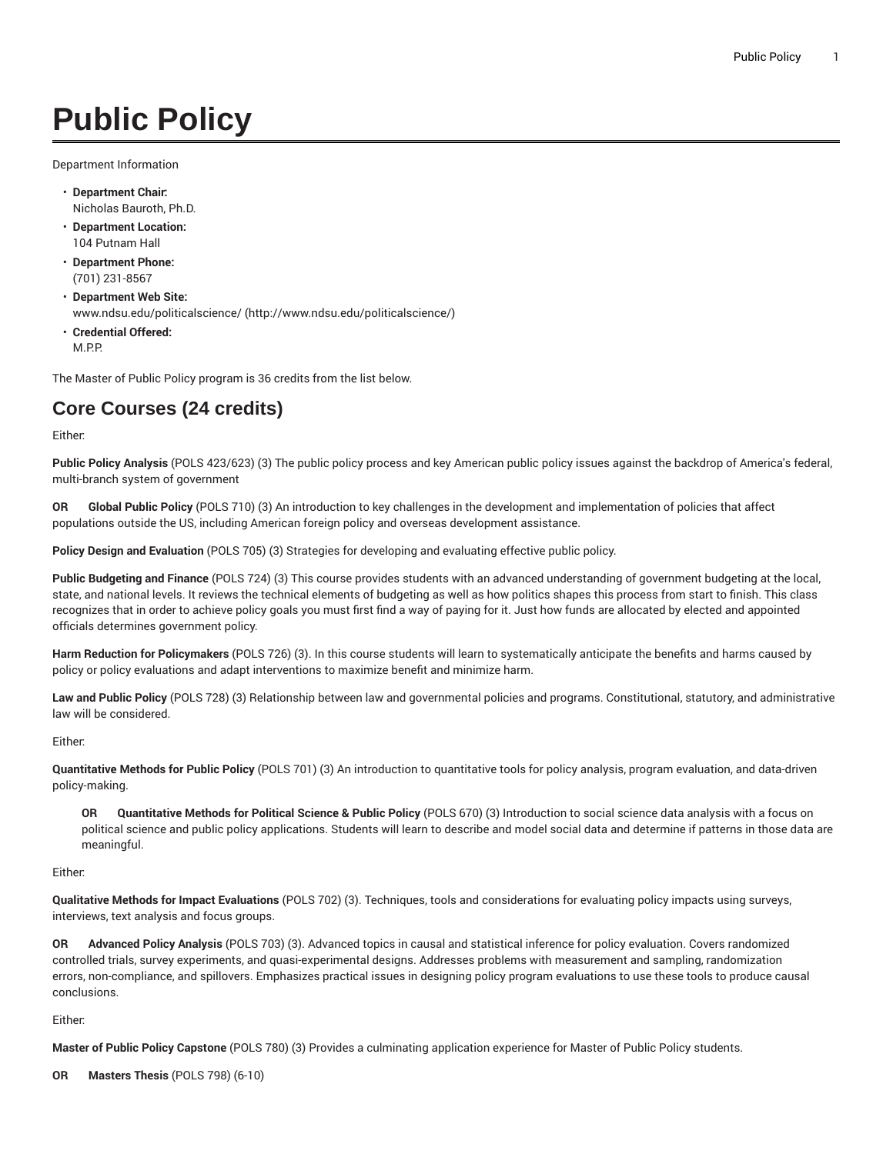## **Public Policy**

Department Information

- **Department Chair:** Nicholas Bauroth, Ph.D.
- **Department Location:** 104 Putnam Hall
- **Department Phone:** (701) 231-8567
- **Department Web Site:** [www.ndsu.edu/politicalscience/ \(http://www.ndsu.edu/politicalscience/\)](http://www.ndsu.edu/politicalscience/)
- **Credential Offered:** M.P.P.

The Master of Public Policy program is 36 credits from the list below.

## **Core Courses (24 credits)**

Either:

**Public Policy Analysis** (POLS 423/623) (3) The public policy process and key American public policy issues against the backdrop of America's federal, multi-branch system of government

**OR Global Public Policy** (POLS 710) (3) An introduction to key challenges in the development and implementation of policies that affect populations outside the US, including American foreign policy and overseas development assistance.

**Policy Design and Evaluation** (POLS 705) (3) Strategies for developing and evaluating effective public policy.

**Public Budgeting and Finance** (POLS 724) (3) This course provides students with an advanced understanding of government budgeting at the local, state, and national levels. It reviews the technical elements of budgeting as well as how politics shapes this process from start to finish. This class recognizes that in order to achieve policy goals you must first find a way of paying for it. Just how funds are allocated by elected and appointed officials determines government policy.

**Harm Reduction for Policymakers** (POLS 726) (3). In this course students will learn to systematically anticipate the benefits and harms caused by policy or policy evaluations and adapt interventions to maximize benefit and minimize harm.

**Law and Public Policy** (POLS 728) (3) Relationship between law and governmental policies and programs. Constitutional, statutory, and administrative law will be considered.

Either:

**Quantitative Methods for Public Policy** (POLS 701) (3) An introduction to quantitative tools for policy analysis, program evaluation, and data-driven policy-making.

**OR Quantitative Methods for Political Science & Public Policy** (POLS 670) (3) Introduction to social science data analysis with a focus on political science and public policy applications. Students will learn to describe and model social data and determine if patterns in those data are meaningful.

Either:

**Qualitative Methods for Impact Evaluations** (POLS 702) (3). Techniques, tools and considerations for evaluating policy impacts using surveys, interviews, text analysis and focus groups.

**OR Advanced Policy Analysis** (POLS 703) (3). Advanced topics in causal and statistical inference for policy evaluation. Covers randomized controlled trials, survey experiments, and quasi-experimental designs. Addresses problems with measurement and sampling, randomization errors, non-compliance, and spillovers. Emphasizes practical issues in designing policy program evaluations to use these tools to produce causal conclusions.

Either:

**Master of Public Policy Capstone** (POLS 780) (3) Provides a culminating application experience for Master of Public Policy students.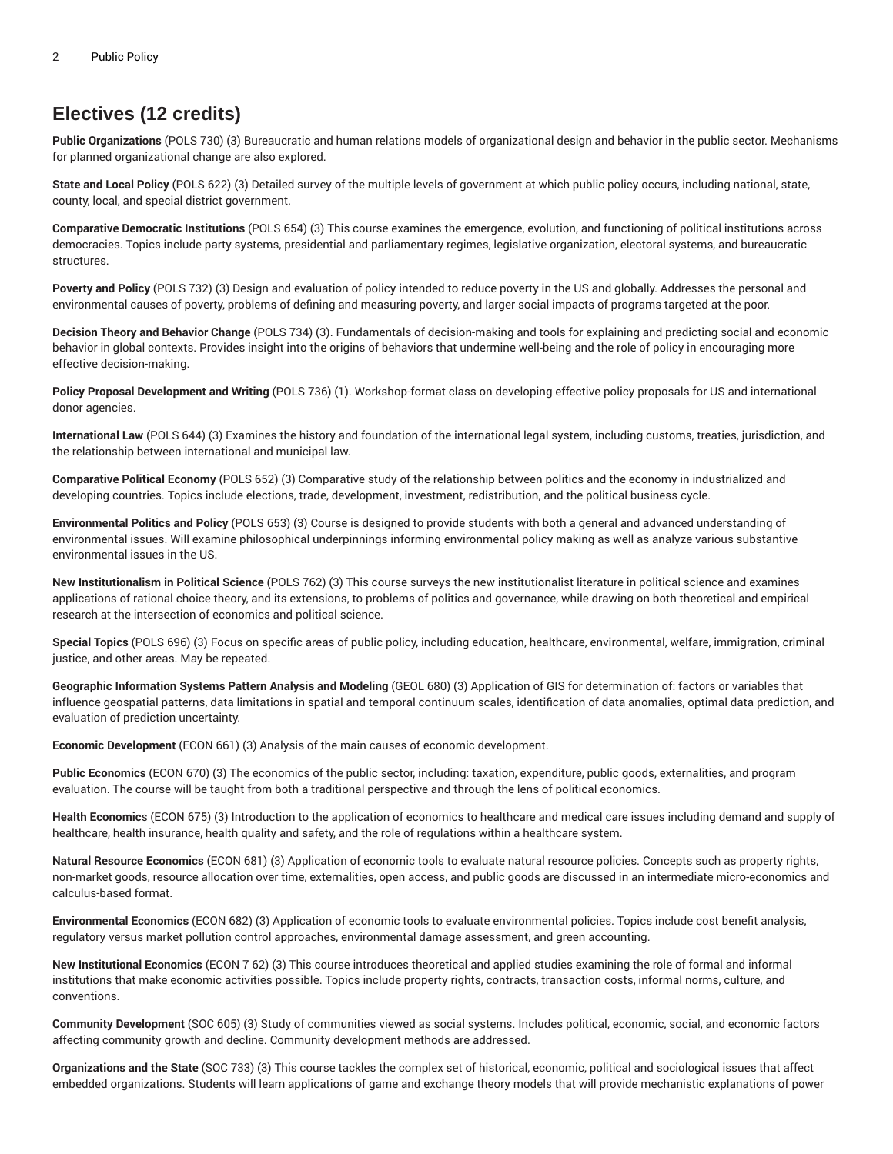## **Electives (12 credits)**

**Public Organizations** (POLS 730) (3) Bureaucratic and human relations models of organizational design and behavior in the public sector. Mechanisms for planned organizational change are also explored.

**State and Local Policy** (POLS 622) (3) Detailed survey of the multiple levels of government at which public policy occurs, including national, state, county, local, and special district government.

**Comparative Democratic Institutions** (POLS 654) (3) This course examines the emergence, evolution, and functioning of political institutions across democracies. Topics include party systems, presidential and parliamentary regimes, legislative organization, electoral systems, and bureaucratic structures.

**Poverty and Policy** (POLS 732) (3) Design and evaluation of policy intended to reduce poverty in the US and globally. Addresses the personal and environmental causes of poverty, problems of defining and measuring poverty, and larger social impacts of programs targeted at the poor.

**Decision Theory and Behavior Change** (POLS 734) (3). Fundamentals of decision-making and tools for explaining and predicting social and economic behavior in global contexts. Provides insight into the origins of behaviors that undermine well-being and the role of policy in encouraging more effective decision-making.

**Policy Proposal Development and Writing** (POLS 736) (1). Workshop-format class on developing effective policy proposals for US and international donor agencies.

**International Law** (POLS 644) (3) Examines the history and foundation of the international legal system, including customs, treaties, jurisdiction, and the relationship between international and municipal law.

**Comparative Political Economy** (POLS 652) (3) Comparative study of the relationship between politics and the economy in industrialized and developing countries. Topics include elections, trade, development, investment, redistribution, and the political business cycle.

**Environmental Politics and Policy** (POLS 653) (3) Course is designed to provide students with both a general and advanced understanding of environmental issues. Will examine philosophical underpinnings informing environmental policy making as well as analyze various substantive environmental issues in the US.

**New Institutionalism in Political Science** (POLS 762) (3) This course surveys the new institutionalist literature in political science and examines applications of rational choice theory, and its extensions, to problems of politics and governance, while drawing on both theoretical and empirical research at the intersection of economics and political science.

**Special Topics** (POLS 696) (3) Focus on specific areas of public policy, including education, healthcare, environmental, welfare, immigration, criminal justice, and other areas. May be repeated.

**Geographic Information Systems Pattern Analysis and Modeling** (GEOL 680) (3) Application of GIS for determination of: factors or variables that influence geospatial patterns, data limitations in spatial and temporal continuum scales, identification of data anomalies, optimal data prediction, and evaluation of prediction uncertainty.

**Economic Development** (ECON 661) (3) Analysis of the main causes of economic development.

**Public Economics** (ECON 670) (3) The economics of the public sector, including: taxation, expenditure, public goods, externalities, and program evaluation. The course will be taught from both a traditional perspective and through the lens of political economics.

**Health Economic**s (ECON 675) (3) Introduction to the application of economics to healthcare and medical care issues including demand and supply of healthcare, health insurance, health quality and safety, and the role of regulations within a healthcare system.

**Natural Resource Economics** (ECON 681) (3) Application of economic tools to evaluate natural resource policies. Concepts such as property rights, non-market goods, resource allocation over time, externalities, open access, and public goods are discussed in an intermediate micro-economics and calculus-based format.

**Environmental Economics** (ECON 682) (3) Application of economic tools to evaluate environmental policies. Topics include cost benefit analysis, regulatory versus market pollution control approaches, environmental damage assessment, and green accounting.

**New Institutional Economics** (ECON 7 62) (3) This course introduces theoretical and applied studies examining the role of formal and informal institutions that make economic activities possible. Topics include property rights, contracts, transaction costs, informal norms, culture, and conventions.

**Community Development** (SOC 605) (3) Study of communities viewed as social systems. Includes political, economic, social, and economic factors affecting community growth and decline. Community development methods are addressed.

**Organizations and the State** (SOC 733) (3) This course tackles the complex set of historical, economic, political and sociological issues that affect embedded organizations. Students will learn applications of game and exchange theory models that will provide mechanistic explanations of power